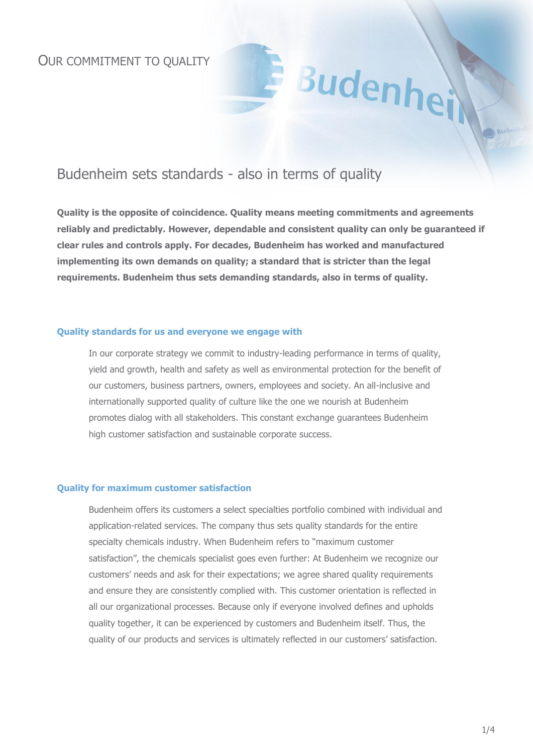# Budenheim sets standards - also in terms of quality

**Quality is the opposite of coincidence. Quality means meeting commitments and agreements reliably and predictably. However, dependable and consistent quality can only be guaranteed if clear rules and controls apply. For decades, Budenheim has worked and manufactured implementing its own demands on quality; a standard that is stricter than the legal requirements. Budenheim thus sets demanding standards, also in terms of quality.**

Budenhe

### **Quality standards for us and everyone we engage with**

In our corporate strategy we commit to industry-leading performance in terms of quality, yield and growth, health and safety as well as environmental protection for the benefit of our customers, business partners, owners, employees and society. An all-inclusive and internationally supported quality of culture like the one we nourish at Budenheim promotes dialog with all stakeholders. This constant exchange guarantees Budenheim high customer satisfaction and sustainable corporate success.

### **Quality for maximum customer satisfaction**

Budenheim offers its customers a select specialties portfolio combined with individual and application-related services. The company thus sets quality standards for the entire specialty chemicals industry. When Budenheim refers to "maximum customer satisfaction", the chemicals specialist goes even further: At Budenheim we recognize our customers' needs and ask for their expectations; we agree shared quality requirements and ensure they are consistently complied with. This customer orientation is reflected in all our organizational processes. Because only if everyone involved defines and upholds quality together, it can be experienced by customers and Budenheim itself. Thus, the quality of our products and services is ultimately reflected in our customers' satisfaction.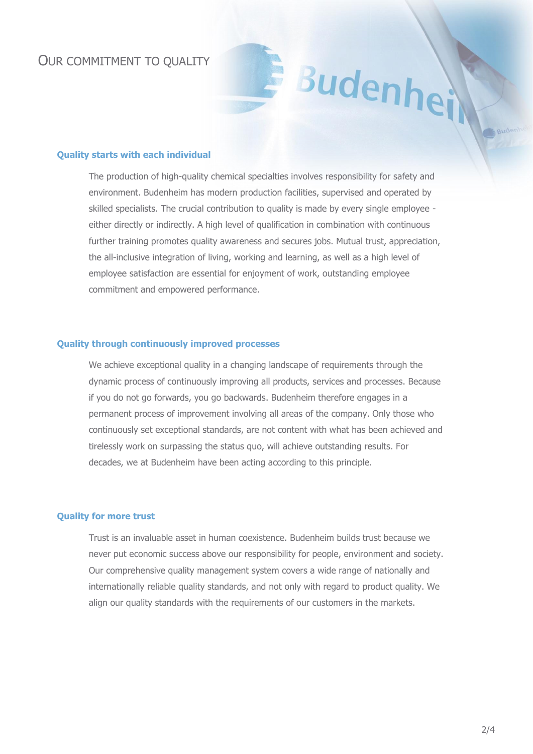### OUR COMMITMENT TO QUALITY

#### **Quality starts with each individual**

The production of high-quality chemical specialties involves responsibility for safety and environment. Budenheim has modern production facilities, supervised and operated by skilled specialists. The crucial contribution to quality is made by every single employee either directly or indirectly. A high level of qualification in combination with continuous further training promotes quality awareness and secures jobs. Mutual trust, appreciation, the all-inclusive integration of living, working and learning, as well as a high level of employee satisfaction are essential for enjoyment of work, outstanding employee commitment and empowered performance.

Budenhe

#### **Quality through continuously improved processes**

We achieve exceptional quality in a changing landscape of requirements through the dynamic process of continuously improving all products, services and processes. Because if you do not go forwards, you go backwards. Budenheim therefore engages in a permanent process of improvement involving all areas of the company. Only those who continuously set exceptional standards, are not content with what has been achieved and tirelessly work on surpassing the status quo, will achieve outstanding results. For decades, we at Budenheim have been acting according to this principle.

### **Quality for more trust**

Trust is an invaluable asset in human coexistence. Budenheim builds trust because we never put economic success above our responsibility for people, environment and society. Our comprehensive quality management system covers a wide range of nationally and internationally reliable quality standards, and not only with regard to product quality. We align our quality standards with the requirements of our customers in the markets.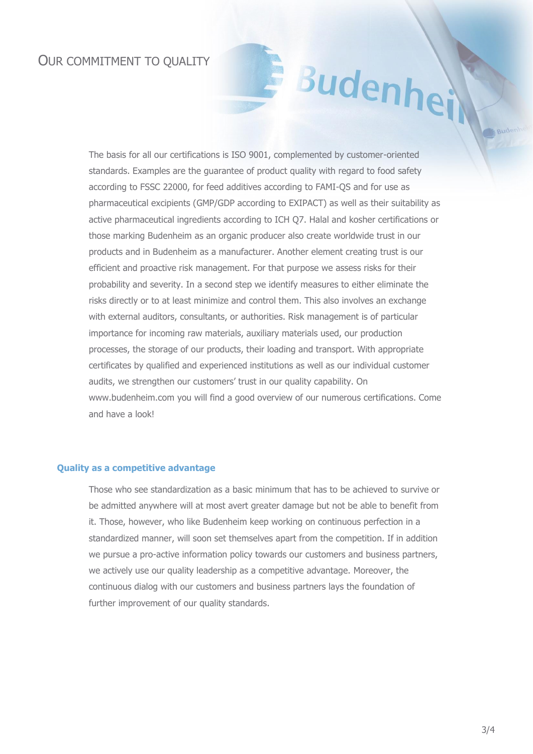## OUR COMMITMENT TO QUALITY

Budenhe

The basis for all our certifications is ISO 9001, complemented by customer-oriented standards. Examples are the guarantee of product quality with regard to food safety according to FSSC 22000, for feed additives according to FAMI-QS and for use as pharmaceutical excipients (GMP/GDP according to EXIPACT) as well as their suitability as active pharmaceutical ingredients according to ICH Q7. Halal and kosher certifications or those marking Budenheim as an organic producer also create worldwide trust in our products and in Budenheim as a manufacturer. Another element creating trust is our efficient and proactive risk management. For that purpose we assess risks for their probability and severity. In a second step we identify measures to either eliminate the risks directly or to at least minimize and control them. This also involves an exchange with external auditors, consultants, or authorities. Risk management is of particular importance for incoming raw materials, auxiliary materials used, our production processes, the storage of our products, their loading and transport. With appropriate certificates by qualified and experienced institutions as well as our individual customer audits, we strengthen our customers' trust in our quality capability. On www.budenheim.com you will find a good overview of our numerous certifications. Come and have a look!

#### **Quality as a competitive advantage**

Those who see standardization as a basic minimum that has to be achieved to survive or be admitted anywhere will at most avert greater damage but not be able to benefit from it. Those, however, who like Budenheim keep working on continuous perfection in a standardized manner, will soon set themselves apart from the competition. If in addition we pursue a pro-active information policy towards our customers and business partners, we actively use our quality leadership as a competitive advantage. Moreover, the continuous dialog with our customers and business partners lays the foundation of further improvement of our quality standards.